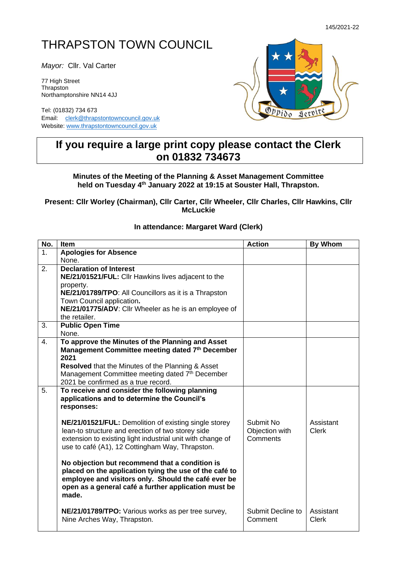## THRAPSTON TOWN COUNCIL

*Mayor:* Cllr. Val Carter

77 High Street **Thrapston** Northamptonshire NN14 4JJ

Tel: (01832) 734 673 Email: [clerk@thrapstontowncouncil.gov.uk](mailto:clerk@thrapstontowncouncil.gov.uk) Website[: www.thrapstontowncouncil.gov.uk](http://www.thrapstontowncouncil.gov.uk/)



## **If you require a large print copy please contact the Clerk on 01832 734673**

**Minutes of the Meeting of the Planning & Asset Management Committee held on Tuesday 4 th January 2022 at 19:15 at Souster Hall, Thrapston.**

**Present: Cllr Worley (Chairman), Cllr Carter, Cllr Wheeler, Cllr Charles, Cllr Hawkins, Cllr McLuckie**

## **In attendance: Margaret Ward (Clerk)**

| No.              | <b>Item</b>                                                                                                     | <b>Action</b>              | <b>By Whom</b>            |
|------------------|-----------------------------------------------------------------------------------------------------------------|----------------------------|---------------------------|
| 1.               | <b>Apologies for Absence</b>                                                                                    |                            |                           |
|                  | None.                                                                                                           |                            |                           |
| 2.               | <b>Declaration of Interest</b>                                                                                  |                            |                           |
|                  | NE/21/01521/FUL: Cllr Hawkins lives adjacent to the                                                             |                            |                           |
|                  | property.<br>NE/21/01789/TPO: All Councillors as it is a Thrapston                                              |                            |                           |
|                  | Town Council application.                                                                                       |                            |                           |
|                  | NE/21/01775/ADV: Cllr Wheeler as he is an employee of                                                           |                            |                           |
|                  | the retailer.                                                                                                   |                            |                           |
| 3.               | <b>Public Open Time</b>                                                                                         |                            |                           |
|                  | None.                                                                                                           |                            |                           |
| $\overline{4}$ . | To approve the Minutes of the Planning and Asset                                                                |                            |                           |
|                  | Management Committee meeting dated 7th December                                                                 |                            |                           |
|                  | 2021<br><b>Resolved</b> that the Minutes of the Planning & Asset                                                |                            |                           |
|                  | Management Committee meeting dated 7th December                                                                 |                            |                           |
|                  | 2021 be confirmed as a true record.                                                                             |                            |                           |
| 5.               | To receive and consider the following planning                                                                  |                            |                           |
|                  | applications and to determine the Council's                                                                     |                            |                           |
|                  | responses:                                                                                                      |                            |                           |
|                  |                                                                                                                 |                            |                           |
|                  | NE/21/01521/FUL: Demolition of existing single storey                                                           | Submit No                  | Assistant<br><b>Clerk</b> |
|                  | lean-to structure and erection of two storey side<br>extension to existing light industrial unit with change of | Objection with<br>Comments |                           |
|                  | use to café (A1), 12 Cottingham Way, Thrapston.                                                                 |                            |                           |
|                  |                                                                                                                 |                            |                           |
|                  | No objection but recommend that a condition is                                                                  |                            |                           |
|                  | placed on the application tying the use of the café to                                                          |                            |                           |
|                  | employee and visitors only. Should the café ever be                                                             |                            |                           |
|                  | open as a general café a further application must be<br>made.                                                   |                            |                           |
|                  |                                                                                                                 |                            |                           |
|                  | NE/21/01789/TPO: Various works as per tree survey,                                                              | Submit Decline to          | Assistant                 |
|                  | Nine Arches Way, Thrapston.                                                                                     | Comment                    | <b>Clerk</b>              |
|                  |                                                                                                                 |                            |                           |